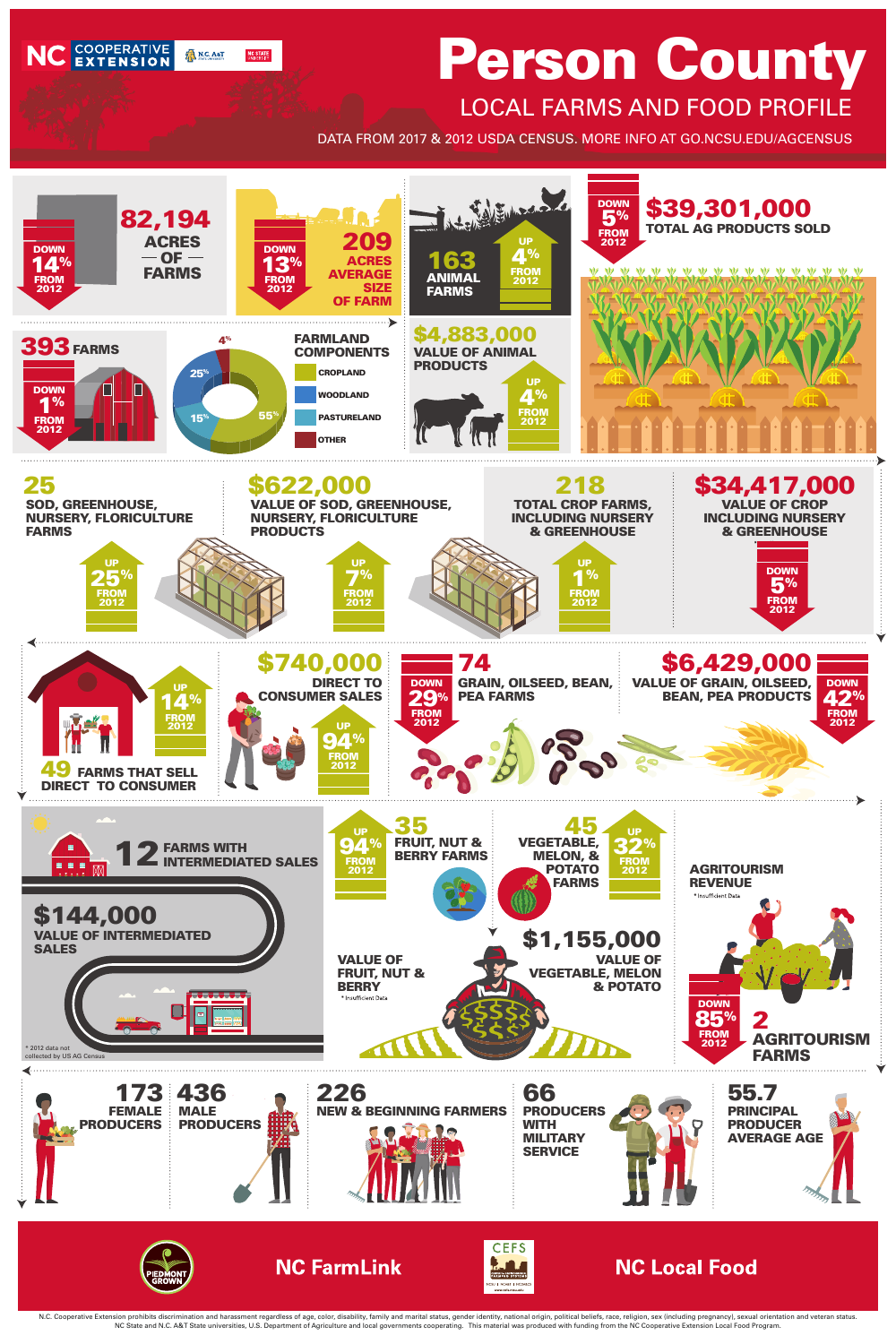

**COOPERATIVE<br>EXTENSION** 

N.C. A&T

NC STATE





N.C. Cooperative Extension prohibits discrimination and harassment regardless of age, color, disability, family and marital status, gender identity, national origin, political beliefs, race, religion, sex (including pregna NC State and N.C. A&T State universities, U.S. Department of Agriculture and local governments cooperating. This material was produced with funding from the NC Cooperative Extension Local Food Program.

DATA FROM 2017 & 2012 USDA CENSUS. MORE INFO AT GO.NCSU.EDU/AGCENSUS